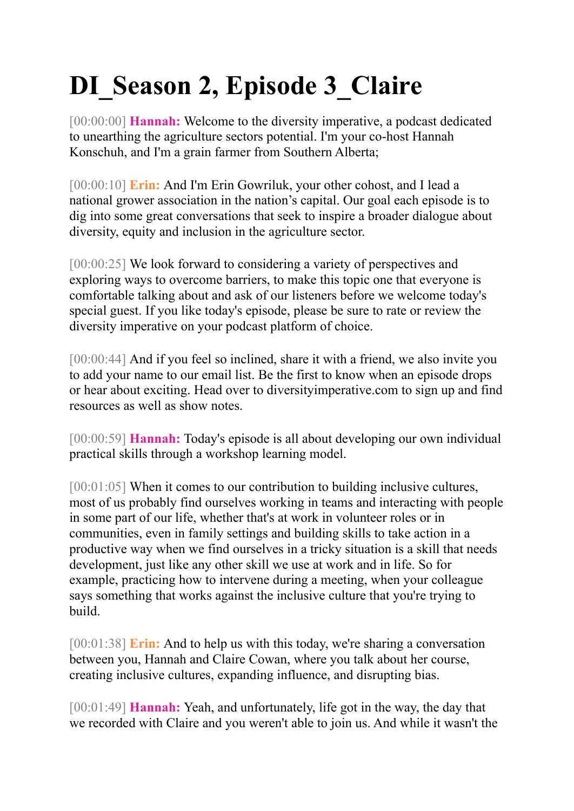## **DI\_Season 2, Episode 3\_Claire**

[00:00:00] **Hannah:** Welcome to the diversity imperative, a podcast dedicated to unearthing the agriculture sectors potential. I'm your co-host Hannah Konschuh, and I'm a grain farmer from Southern Alberta;

[00:00:10] **Erin:** And I'm Erin Gowriluk, your other cohost, and I lead a national grower association in the nation's capital. Our goal each episode is to dig into some great conversations that seek to inspire a broader dialogue about diversity, equity and inclusion in the agriculture sector.

[00:00:25] We look forward to considering a variety of perspectives and exploring ways to overcome barriers, to make this topic one that everyone is comfortable talking about and ask of our listeners before we welcome today's special guest. If you like today's episode, please be sure to rate or review the diversity imperative on your podcast platform of choice.

[00:00:44] And if you feel so inclined, share it with a friend, we also invite you to add your name to our email list. Be the first to know when an episode drops or hear about exciting. Head over to diversityimperative.com to sign up and find resources as well as show notes.

[00:00:59] **Hannah:** Today's episode is all about developing our own individual practical skills through a workshop learning model.

[00:01:05] When it comes to our contribution to building inclusive cultures, most of us probably find ourselves working in teams and interacting with people in some part of our life, whether that's at work in volunteer roles or in communities, even in family settings and building skills to take action in a productive way when we find ourselves in a tricky situation is a skill that needs development, just like any other skill we use at work and in life. So for example, practicing how to intervene during a meeting, when your colleague says something that works against the inclusive culture that you're trying to build.

[00:01:38] **Erin:** And to help us with this today, we're sharing a conversation between you, Hannah and Claire Cowan, where you talk about her course, creating inclusive cultures, expanding influence, and disrupting bias.

[00:01:49] **Hannah:** Yeah, and unfortunately, life got in the way, the day that we recorded with Claire and you weren't able to join us. And while it wasn't the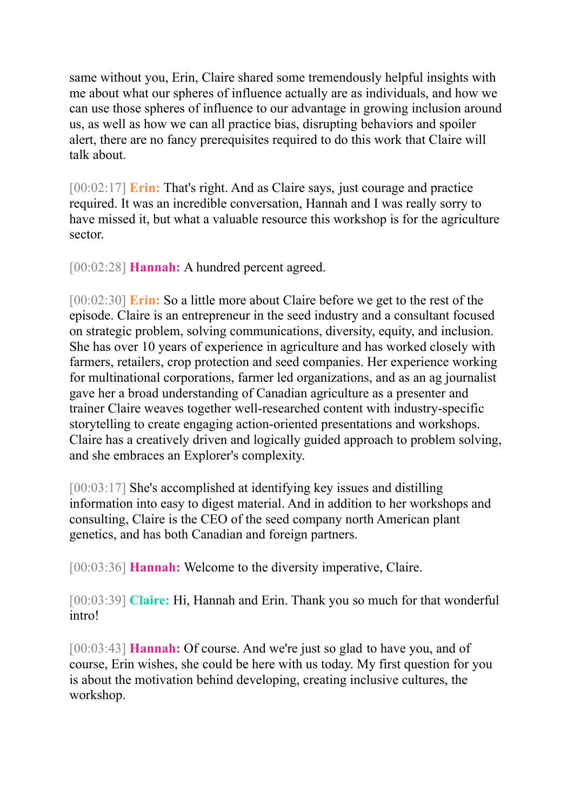same without you, Erin, Claire shared some tremendously helpful insights with me about what our spheres of influence actually are as individuals, and how we can use those spheres of influence to our advantage in growing inclusion around us, as well as how we can all practice bias, disrupting behaviors and spoiler alert, there are no fancy prerequisites required to do this work that Claire will talk about.

[00:02:17] **Erin:** That's right. And as Claire says, just courage and practice required. It was an incredible conversation, Hannah and I was really sorry to have missed it, but what a valuable resource this workshop is for the agriculture sector.

[00:02:28] **Hannah:** A hundred percent agreed.

[00:02:30] **Erin:** So a little more about Claire before we get to the rest of the episode. Claire is an entrepreneur in the seed industry and a consultant focused on strategic problem, solving communications, diversity, equity, and inclusion. She has over 10 years of experience in agriculture and has worked closely with farmers, retailers, crop protection and seed companies. Her experience working for multinational corporations, farmer led organizations, and as an ag journalist gave her a broad understanding of Canadian agriculture as a presenter and trainer Claire weaves together well-researched content with industry-specific storytelling to create engaging action-oriented presentations and workshops. Claire has a creatively driven and logically guided approach to problem solving, and she embraces an Explorer's complexity.

[00:03:17] She's accomplished at identifying key issues and distilling information into easy to digest material. And in addition to her workshops and consulting, Claire is the CEO of the seed company north American plant genetics, and has both Canadian and foreign partners.

[00:03:36] **Hannah:** Welcome to the diversity imperative, Claire.

[00:03:39] **Claire:** Hi, Hannah and Erin. Thank you so much for that wonderful intro!

[00:03:43] **Hannah:** Of course. And we're just so glad to have you, and of course, Erin wishes, she could be here with us today. My first question for you is about the motivation behind developing, creating inclusive cultures, the workshop.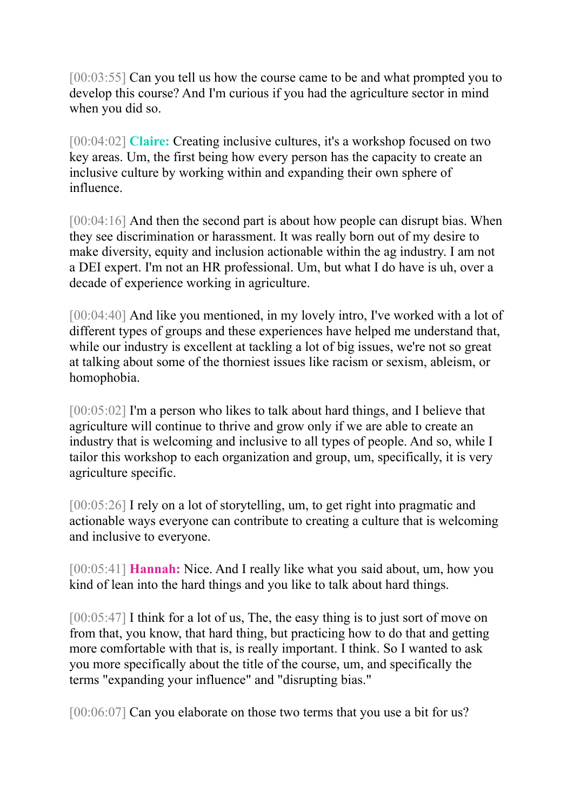[00:03:55] Can you tell us how the course came to be and what prompted you to develop this course? And I'm curious if you had the agriculture sector in mind when you did so.

[00:04:02] **Claire:** Creating inclusive cultures, it's a workshop focused on two key areas. Um, the first being how every person has the capacity to create an inclusive culture by working within and expanding their own sphere of influence.

[00:04:16] And then the second part is about how people can disrupt bias. When they see discrimination or harassment. It was really born out of my desire to make diversity, equity and inclusion actionable within the ag industry. I am not a DEI expert. I'm not an HR professional. Um, but what I do have is uh, over a decade of experience working in agriculture.

[00:04:40] And like you mentioned, in my lovely intro, I've worked with a lot of different types of groups and these experiences have helped me understand that, while our industry is excellent at tackling a lot of big issues, we're not so great at talking about some of the thorniest issues like racism or sexism, ableism, or homophobia.

[00:05:02] I'm a person who likes to talk about hard things, and I believe that agriculture will continue to thrive and grow only if we are able to create an industry that is welcoming and inclusive to all types of people. And so, while I tailor this workshop to each organization and group, um, specifically, it is very agriculture specific.

[00:05:26] I rely on a lot of storytelling, um, to get right into pragmatic and actionable ways everyone can contribute to creating a culture that is welcoming and inclusive to everyone.

[00:05:41] **Hannah:** Nice. And I really like what you said about, um, how you kind of lean into the hard things and you like to talk about hard things.

[00:05:47] I think for a lot of us, The, the easy thing is to just sort of move on from that, you know, that hard thing, but practicing how to do that and getting more comfortable with that is, is really important. I think. So I wanted to ask you more specifically about the title of the course, um, and specifically the terms "expanding your influence" and "disrupting bias."

[00:06:07] Can you elaborate on those two terms that you use a bit for us?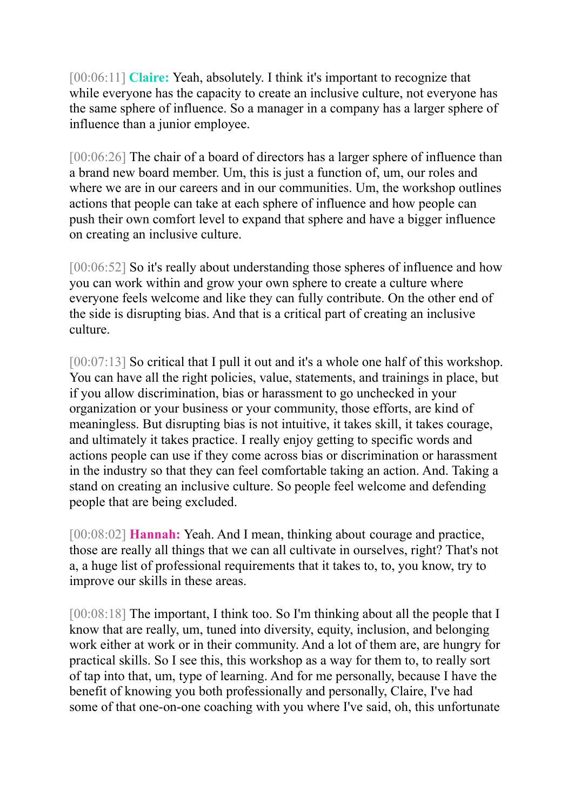[00:06:11] **Claire:** Yeah, absolutely. I think it's important to recognize that while everyone has the capacity to create an inclusive culture, not everyone has the same sphere of influence. So a manager in a company has a larger sphere of influence than a junior employee.

[00:06:26] The chair of a board of directors has a larger sphere of influence than a brand new board member. Um, this is just a function of, um, our roles and where we are in our careers and in our communities. Um, the workshop outlines actions that people can take at each sphere of influence and how people can push their own comfort level to expand that sphere and have a bigger influence on creating an inclusive culture.

[00:06:52] So it's really about understanding those spheres of influence and how you can work within and grow your own sphere to create a culture where everyone feels welcome and like they can fully contribute. On the other end of the side is disrupting bias. And that is a critical part of creating an inclusive culture.

[00:07:13] So critical that I pull it out and it's a whole one half of this workshop. You can have all the right policies, value, statements, and trainings in place, but if you allow discrimination, bias or harassment to go unchecked in your organization or your business or your community, those efforts, are kind of meaningless. But disrupting bias is not intuitive, it takes skill, it takes courage, and ultimately it takes practice. I really enjoy getting to specific words and actions people can use if they come across bias or discrimination or harassment in the industry so that they can feel comfortable taking an action. And. Taking a stand on creating an inclusive culture. So people feel welcome and defending people that are being excluded.

[00:08:02] **Hannah:** Yeah. And I mean, thinking about courage and practice, those are really all things that we can all cultivate in ourselves, right? That's not a, a huge list of professional requirements that it takes to, to, you know, try to improve our skills in these areas.

[00:08:18] The important, I think too. So I'm thinking about all the people that I know that are really, um, tuned into diversity, equity, inclusion, and belonging work either at work or in their community. And a lot of them are, are hungry for practical skills. So I see this, this workshop as a way for them to, to really sort of tap into that, um, type of learning. And for me personally, because I have the benefit of knowing you both professionally and personally, Claire, I've had some of that one-on-one coaching with you where I've said, oh, this unfortunate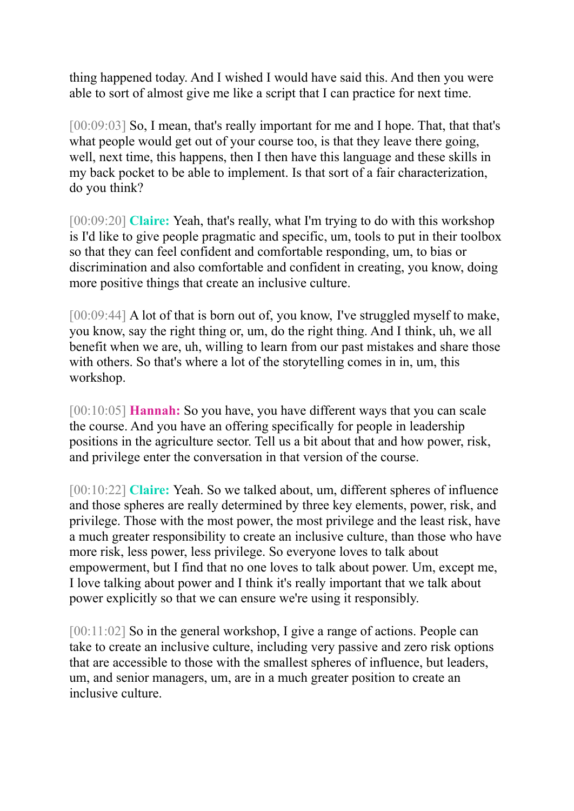thing happened today. And I wished I would have said this. And then you were able to sort of almost give me like a script that I can practice for next time.

[00:09:03] So, I mean, that's really important for me and I hope. That, that that's what people would get out of your course too, is that they leave there going, well, next time, this happens, then I then have this language and these skills in my back pocket to be able to implement. Is that sort of a fair characterization, do you think?

[00:09:20] **Claire:** Yeah, that's really, what I'm trying to do with this workshop is I'd like to give people pragmatic and specific, um, tools to put in their toolbox so that they can feel confident and comfortable responding, um, to bias or discrimination and also comfortable and confident in creating, you know, doing more positive things that create an inclusive culture.

[00:09:44] A lot of that is born out of, you know, I've struggled myself to make, you know, say the right thing or, um, do the right thing. And I think, uh, we all benefit when we are, uh, willing to learn from our past mistakes and share those with others. So that's where a lot of the storytelling comes in in, um, this workshop.

[00:10:05] **Hannah:** So you have, you have different ways that you can scale the course. And you have an offering specifically for people in leadership positions in the agriculture sector. Tell us a bit about that and how power, risk, and privilege enter the conversation in that version of the course.

[00:10:22] **Claire:** Yeah. So we talked about, um, different spheres of influence and those spheres are really determined by three key elements, power, risk, and privilege. Those with the most power, the most privilege and the least risk, have a much greater responsibility to create an inclusive culture, than those who have more risk, less power, less privilege. So everyone loves to talk about empowerment, but I find that no one loves to talk about power. Um, except me, I love talking about power and I think it's really important that we talk about power explicitly so that we can ensure we're using it responsibly.

[00:11:02] So in the general workshop, I give a range of actions. People can take to create an inclusive culture, including very passive and zero risk options that are accessible to those with the smallest spheres of influence, but leaders, um, and senior managers, um, are in a much greater position to create an inclusive culture.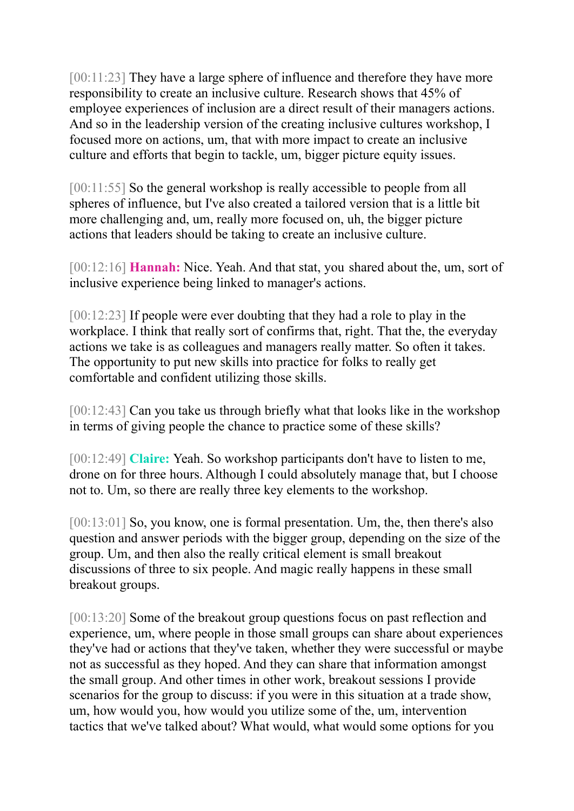[00:11:23] They have a large sphere of influence and therefore they have more responsibility to create an inclusive culture. Research shows that 45% of employee experiences of inclusion are a direct result of their managers actions. And so in the leadership version of the creating inclusive cultures workshop, I focused more on actions, um, that with more impact to create an inclusive culture and efforts that begin to tackle, um, bigger picture equity issues.

[00:11:55] So the general workshop is really accessible to people from all spheres of influence, but I've also created a tailored version that is a little bit more challenging and, um, really more focused on, uh, the bigger picture actions that leaders should be taking to create an inclusive culture.

[00:12:16] **Hannah:** Nice. Yeah. And that stat, you shared about the, um, sort of inclusive experience being linked to manager's actions.

[00:12:23] If people were ever doubting that they had a role to play in the workplace. I think that really sort of confirms that, right. That the, the everyday actions we take is as colleagues and managers really matter. So often it takes. The opportunity to put new skills into practice for folks to really get comfortable and confident utilizing those skills.

[00:12:43] Can you take us through briefly what that looks like in the workshop in terms of giving people the chance to practice some of these skills?

[00:12:49] **Claire:** Yeah. So workshop participants don't have to listen to me, drone on for three hours. Although I could absolutely manage that, but I choose not to. Um, so there are really three key elements to the workshop.

[00:13:01] So, you know, one is formal presentation. Um, the, then there's also question and answer periods with the bigger group, depending on the size of the group. Um, and then also the really critical element is small breakout discussions of three to six people. And magic really happens in these small breakout groups.

[00:13:20] Some of the breakout group questions focus on past reflection and experience, um, where people in those small groups can share about experiences they've had or actions that they've taken, whether they were successful or maybe not as successful as they hoped. And they can share that information amongst the small group. And other times in other work, breakout sessions I provide scenarios for the group to discuss: if you were in this situation at a trade show, um, how would you, how would you utilize some of the, um, intervention tactics that we've talked about? What would, what would some options for you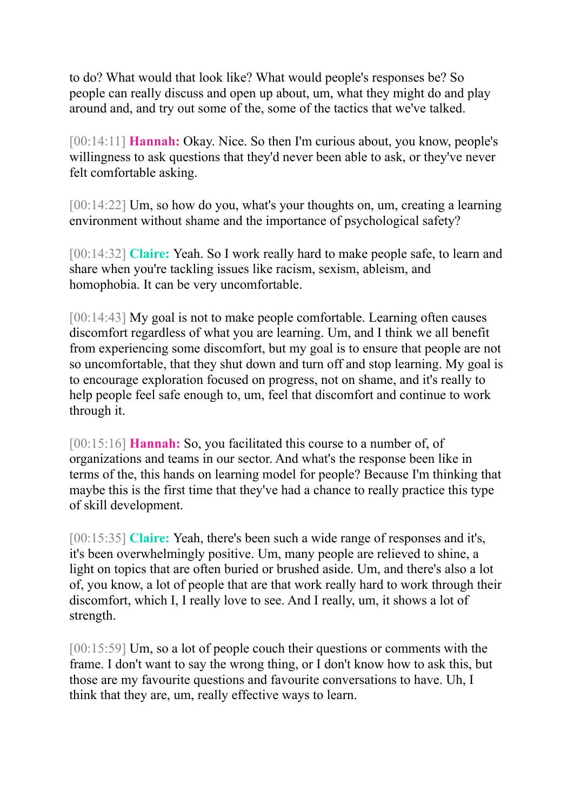to do? What would that look like? What would people's responses be? So people can really discuss and open up about, um, what they might do and play around and, and try out some of the, some of the tactics that we've talked.

[00:14:11] **Hannah:** Okay. Nice. So then I'm curious about, you know, people's willingness to ask questions that they'd never been able to ask, or they've never felt comfortable asking.

[00:14:22] Um, so how do you, what's your thoughts on, um, creating a learning environment without shame and the importance of psychological safety?

[00:14:32] **Claire:** Yeah. So I work really hard to make people safe, to learn and share when you're tackling issues like racism, sexism, ableism, and homophobia. It can be very uncomfortable.

[00:14:43] My goal is not to make people comfortable. Learning often causes discomfort regardless of what you are learning. Um, and I think we all benefit from experiencing some discomfort, but my goal is to ensure that people are not so uncomfortable, that they shut down and turn off and stop learning. My goal is to encourage exploration focused on progress, not on shame, and it's really to help people feel safe enough to, um, feel that discomfort and continue to work through it.

[00:15:16] **Hannah:** So, you facilitated this course to a number of, of organizations and teams in our sector. And what's the response been like in terms of the, this hands on learning model for people? Because I'm thinking that maybe this is the first time that they've had a chance to really practice this type of skill development.

[00:15:35] **Claire:** Yeah, there's been such a wide range of responses and it's, it's been overwhelmingly positive. Um, many people are relieved to shine, a light on topics that are often buried or brushed aside. Um, and there's also a lot of, you know, a lot of people that are that work really hard to work through their discomfort, which I, I really love to see. And I really, um, it shows a lot of strength.

[00:15:59] Um, so a lot of people couch their questions or comments with the frame. I don't want to say the wrong thing, or I don't know how to ask this, but those are my favourite questions and favourite conversations to have. Uh, I think that they are, um, really effective ways to learn.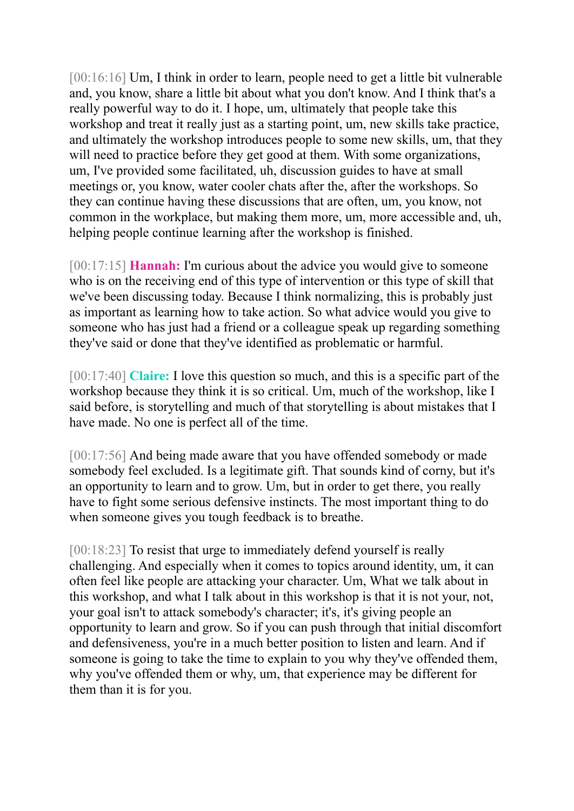[00:16:16] Um, I think in order to learn, people need to get a little bit vulnerable and, you know, share a little bit about what you don't know. And I think that's a really powerful way to do it. I hope, um, ultimately that people take this workshop and treat it really just as a starting point, um, new skills take practice, and ultimately the workshop introduces people to some new skills, um, that they will need to practice before they get good at them. With some organizations, um, I've provided some facilitated, uh, discussion guides to have at small meetings or, you know, water cooler chats after the, after the workshops. So they can continue having these discussions that are often, um, you know, not common in the workplace, but making them more, um, more accessible and, uh, helping people continue learning after the workshop is finished.

[00:17:15] **Hannah:** I'm curious about the advice you would give to someone who is on the receiving end of this type of intervention or this type of skill that we've been discussing today. Because I think normalizing, this is probably just as important as learning how to take action. So what advice would you give to someone who has just had a friend or a colleague speak up regarding something they've said or done that they've identified as problematic or harmful.

[00:17:40] **Claire:** I love this question so much, and this is a specific part of the workshop because they think it is so critical. Um, much of the workshop, like I said before, is storytelling and much of that storytelling is about mistakes that I have made. No one is perfect all of the time.

[00:17:56] And being made aware that you have offended somebody or made somebody feel excluded. Is a legitimate gift. That sounds kind of corny, but it's an opportunity to learn and to grow. Um, but in order to get there, you really have to fight some serious defensive instincts. The most important thing to do when someone gives you tough feedback is to breathe.

[00:18:23] To resist that urge to immediately defend yourself is really challenging. And especially when it comes to topics around identity, um, it can often feel like people are attacking your character. Um, What we talk about in this workshop, and what I talk about in this workshop is that it is not your, not, your goal isn't to attack somebody's character; it's, it's giving people an opportunity to learn and grow. So if you can push through that initial discomfort and defensiveness, you're in a much better position to listen and learn. And if someone is going to take the time to explain to you why they've offended them, why you've offended them or why, um, that experience may be different for them than it is for you.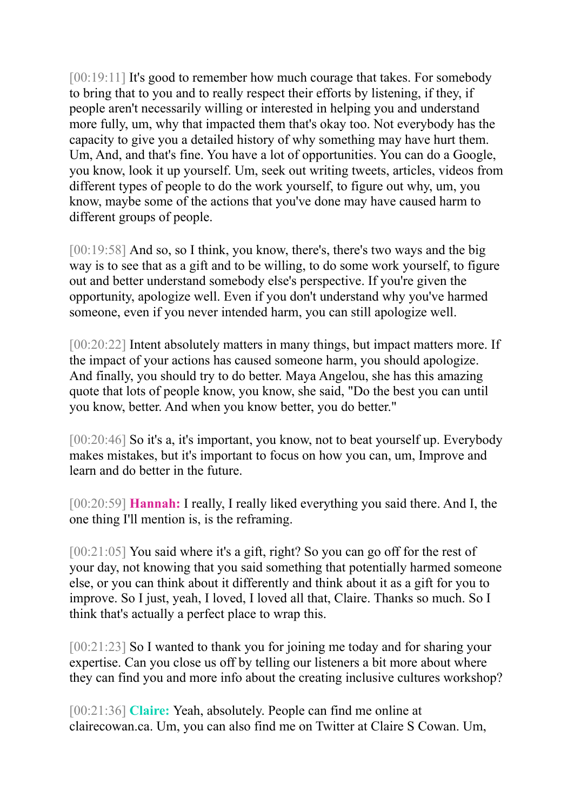[00:19:11] It's good to remember how much courage that takes. For somebody to bring that to you and to really respect their efforts by listening, if they, if people aren't necessarily willing or interested in helping you and understand more fully, um, why that impacted them that's okay too. Not everybody has the capacity to give you a detailed history of why something may have hurt them. Um, And, and that's fine. You have a lot of opportunities. You can do a Google, you know, look it up yourself. Um, seek out writing tweets, articles, videos from different types of people to do the work yourself, to figure out why, um, you know, maybe some of the actions that you've done may have caused harm to different groups of people.

[00:19:58] And so, so I think, you know, there's, there's two ways and the big way is to see that as a gift and to be willing, to do some work yourself, to figure out and better understand somebody else's perspective. If you're given the opportunity, apologize well. Even if you don't understand why you've harmed someone, even if you never intended harm, you can still apologize well.

[00:20:22] Intent absolutely matters in many things, but impact matters more. If the impact of your actions has caused someone harm, you should apologize. And finally, you should try to do better. Maya Angelou, she has this amazing quote that lots of people know, you know, she said, "Do the best you can until you know, better. And when you know better, you do better."

[00:20:46] So it's a, it's important, you know, not to beat yourself up. Everybody makes mistakes, but it's important to focus on how you can, um, Improve and learn and do better in the future.

[00:20:59] **Hannah:** I really, I really liked everything you said there. And I, the one thing I'll mention is, is the reframing.

[00:21:05] You said where it's a gift, right? So you can go off for the rest of your day, not knowing that you said something that potentially harmed someone else, or you can think about it differently and think about it as a gift for you to improve. So I just, yeah, I loved, I loved all that, Claire. Thanks so much. So I think that's actually a perfect place to wrap this.

[00:21:23] So I wanted to thank you for joining me today and for sharing your expertise. Can you close us off by telling our listeners a bit more about where they can find you and more info about the creating inclusive cultures workshop?

[00:21:36] **Claire:** Yeah, absolutely. People can find me online at clairecowan.ca. Um, you can also find me on Twitter at Claire S Cowan. Um,